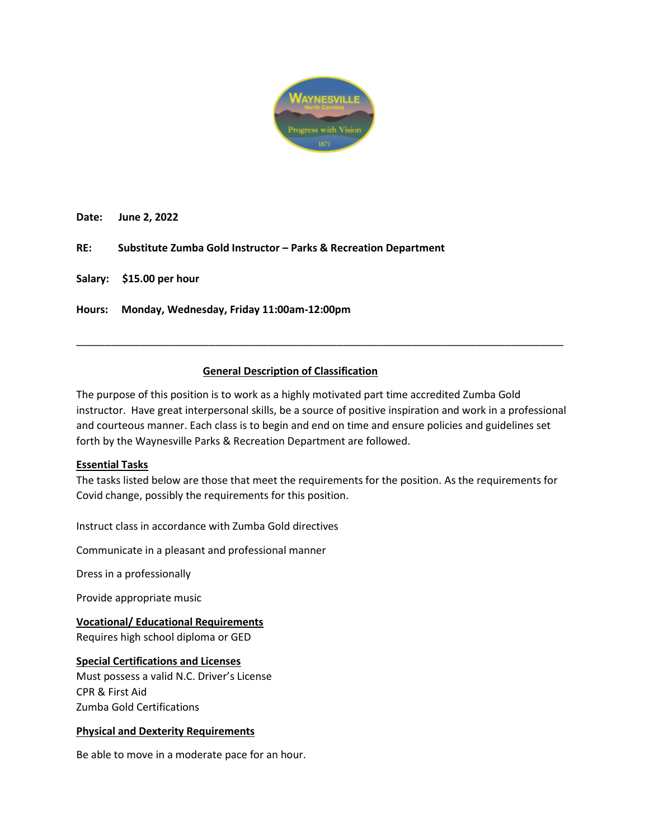

**Date: June 2, 2022**

**RE: Substitute Zumba Gold Instructor – Parks & Recreation Department**

**Salary: \$15.00 per hour**

**Hours: Monday, Wednesday, Friday 11:00am-12:00pm**

# **General Description of Classification**

The purpose of this position is to work as a highly motivated part time accredited Zumba Gold instructor. Have great interpersonal skills, be a source of positive inspiration and work in a professional and courteous manner. Each class is to begin and end on time and ensure policies and guidelines set forth by the Waynesville Parks & Recreation Department are followed.

\_\_\_\_\_\_\_\_\_\_\_\_\_\_\_\_\_\_\_\_\_\_\_\_\_\_\_\_\_\_\_\_\_\_\_\_\_\_\_\_\_\_\_\_\_\_\_\_\_\_\_\_\_\_\_\_\_\_\_\_\_\_\_\_\_\_\_\_\_\_\_\_\_\_\_\_\_\_\_\_\_\_\_\_

#### **Essential Tasks**

The tasks listed below are those that meet the requirements for the position. As the requirements for Covid change, possibly the requirements for this position.

Instruct class in accordance with Zumba Gold directives

Communicate in a pleasant and professional manner

Dress in a professionally

Provide appropriate music

**Vocational/ Educational Requirements** Requires high school diploma or GED

# **Special Certifications and Licenses** Must possess a valid N.C. Driver's License

CPR & First Aid Zumba Gold Certifications

# **Physical and Dexterity Requirements**

Be able to move in a moderate pace for an hour.